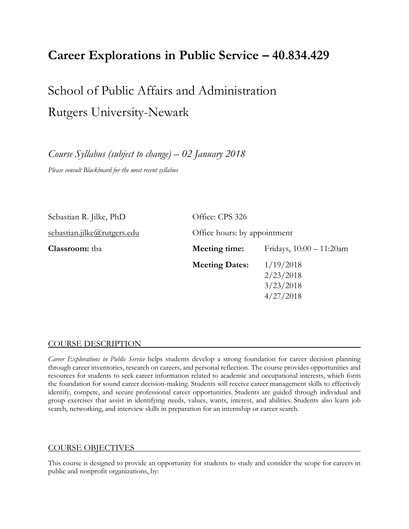# **Career Explorations in Public Service – 40.834.429**

School of Public Affairs and Administration Rutgers University-Newark

*Course Syllabus (subject to change) – 02 January 2018 Please consult Blackboard for the most recent syllabus*

| Sebastian R. Jilke, PhD     | Office: CPS 326       |                                                  |  |  |
|-----------------------------|-----------------------|--------------------------------------------------|--|--|
| sebastian.jilke@rutgers.edu |                       | Office hours: by appointment                     |  |  |
| <b>Classroom:</b> tba       | Meeting time:         | Fridays, $10:00 - 11:20$ am                      |  |  |
|                             | <b>Meeting Dates:</b> | 1/19/2018<br>2/23/2018<br>3/23/2018<br>4/27/2018 |  |  |

#### COURSE DESCRIPTION

*Career Explorations in Public Service* helps students develop a strong foundation for career decision planning through career inventories, research on careers, and personal reflection. The course provides opportunities and resources for students to seek career information related to academic and occupational interests, which form the foundation for sound career decision-making. Students will receive career management skills to effectively identify, compete, and secure professional career opportunities. Students are guided through individual and group exercises that assist in identifying needs, values, wants, interest, and abilities. Students also learn job search, networking, and interview skills in preparation for an internship or career search.

#### COURSE OBJECTIVES

This course is designed to provide an opportunity for students to study and consider the scope for careers in public and nonprofit organizations, by: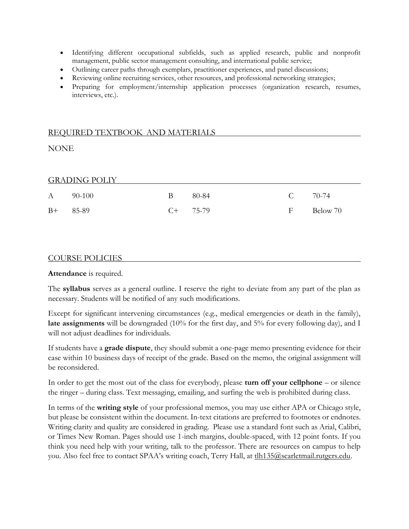- Identifying different occupational subfields, such as applied research, public and nonprofit management, public sector management consulting, and international public service;
- Outlining career paths through exemplars, practitioner experiences, and panel discussions;
- Reviewing online recruiting services, other resources, and professional networking strategies;
- Preparing for employment/internship application processes (organization research, resumes, interviews, etc.).

## REQUIRED TEXTBOOK AND MATERIALS

NONE

#### GRADING POLIY

|            | A 90-100 | B 80-84    | $C = 70-74$ |            |
|------------|----------|------------|-------------|------------|
| $B+ 85-89$ |          | $C+$ 75-79 |             | F Below 70 |

#### COURSE POLICIES

**Attendance** is required.

The **syllabus** serves as a general outline. I reserve the right to deviate from any part of the plan as necessary. Students will be notified of any such modifications.

Except for significant intervening circumstances (e.g., medical emergencies or death in the family), late assignments will be downgraded (10% for the first day, and 5% for every following day), and I will not adjust deadlines for individuals.

If students have a **grade dispute**, they should submit a one-page memo presenting evidence for their case within 10 business days of receipt of the grade. Based on the memo, the original assignment will be reconsidered.

In order to get the most out of the class for everybody, please **turn off your cellphone** – or silence the ringer – during class. Text messaging, emailing, and surfing the web is prohibited during class.

In terms of the **writing style** of your professional memos, you may use either APA or Chicago style, but please be consistent within the document. In-text citations are preferred to footnotes or endnotes. Writing clarity and quality are considered in grading. Please use a standard font such as Arial, Calibri, or Times New Roman. Pages should use 1-inch margins, double-spaced, with 12 point fonts. If you think you need help with your writing, talk to the professor. There are resources on campus to help you. Also feel free to contact SPAA's writing coach, Terry Hall, at thi 135@scarletmail.rutgers.edu.